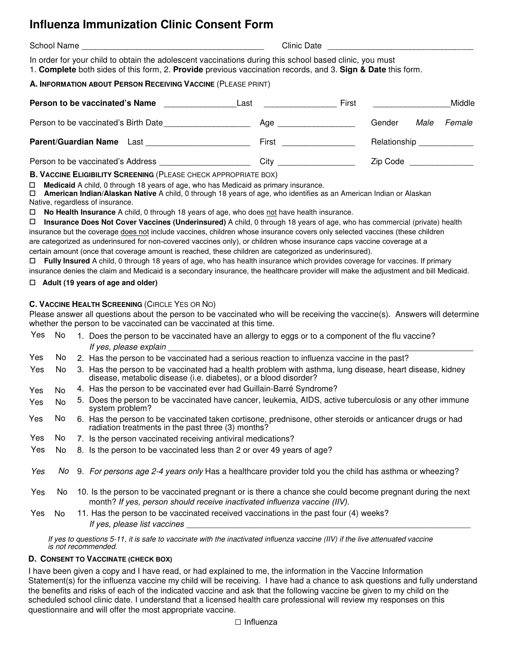# **Influenza Immunization Clinic Consent Form**

School Name \_\_\_\_\_\_\_\_\_\_\_\_\_\_\_\_\_\_\_\_\_\_\_\_\_\_\_\_\_\_\_\_\_\_\_\_\_\_\_\_ Clinic Date \_\_\_\_\_\_\_\_\_\_\_\_\_\_\_\_\_\_\_\_\_\_\_\_\_\_\_\_\_\_\_\_

In order for your child to obtain the adolescent vaccinations during this school based clinic, you must

1. **Complete** both sides of this form, 2. **Provide** previous vaccination records, and 3. **Sign & Date** this form.

### **A. INFORMATION ABOUT PERSON RECEIVING VACCINE** (PLEASE PRINT)

| Person to be vaccinated's Name       | Last  | First |              |      | Middle |
|--------------------------------------|-------|-------|--------------|------|--------|
| Person to be vaccinated's Birth Date | Age   |       | Gender       | Male | Female |
| <b>Parent/Guardian Name</b> Last     | First |       | Relationship |      |        |
| Person to be vaccinated's Address    | Citv  |       | Zip Code     |      |        |

**B. VACCINE ELIGIBILITY SCREENING** (PLEASE CHECK APPROPRIATE BOX)

**Medicaid** A child, 0 through 18 years of age, who has Medicaid as primary insurance.

 **American Indian/Alaskan Native** A child, 0 through 18 years of age, who identifies as an American Indian or Alaskan Native, regardless of insurance.

**No Health Insurance** A child, 0 through 18 years of age, who does not have health insurance.

 **Insurance Does Not Cover Vaccines (Underinsured)** A child, 0 through 18 years of age, who has commercial (private) health insurance but the coverage does not include vaccines, children whose insurance covers only selected vaccines (these children are categorized as underinsured for non-covered vaccines only), or children whose insurance caps vaccine coverage at a certain amount (once that coverage amount is reached, these children are categorized as underinsured).

 **Fully Insured** A child, 0 through 18 years of age, who has health insurance which provides coverage for vaccines. If primary insurance denies the claim and Medicaid is a secondary insurance, the healthcare provider will make the adjustment and bill Medicaid.

#### **Adult (19 years of age and older)**

### **C. VACCINE HEALTH SCREENING** (CIRCLE YES OR NO)

Please answer all questions about the person to be vaccinated who will be receiving the vaccine(s). Answers will determine whether the person to be vaccinated can be vaccinated at this time.

| Yes | No. | 1. Does the person to be vaccinated have an allergy to eggs or to a component of the flu vaccine?                                                                                       |
|-----|-----|-----------------------------------------------------------------------------------------------------------------------------------------------------------------------------------------|
|     |     | If yes, please explain                                                                                                                                                                  |
| Yes | No. | 2. Has the person to be vaccinated had a serious reaction to influenza vaccine in the past?                                                                                             |
| Yes | No  | 3. Has the person to be vaccinated had a health problem with asthma, lung disease, heart disease, kidney<br>disease, metabolic disease (i.e. diabetes), or a blood disorder?            |
| Yes | No. | 4. Has the person to be vaccinated ever had Guillain-Barré Syndrome?                                                                                                                    |
| Yes | No. | 5. Does the person to be vaccinated have cancer, leukemia, AIDS, active tuberculosis or any other immune<br>system problem?                                                             |
| Yes | No. | 6. Has the person to be vaccinated taken cortisone, prednisone, other steroids or anticancer drugs or had<br>radiation treatments in the past three (3) months?                         |
| Yes | No. | 7. Is the person vaccinated receiving antiviral medications?                                                                                                                            |
| Yes | No  | 8. Is the person to be vaccinated less than 2 or over 49 years of age?                                                                                                                  |
| Yes | No. | 9. For persons age 2-4 years only Has a healthcare provider told you the child has asthma or wheezing?                                                                                  |
| Yes | No. | 10. Is the person to be vaccinated pregnant or is there a chance she could become pregnant during the next<br>month? If yes, person should receive inactivated influenza vaccine (IIV). |
| Yes | No. | 11. Has the person to be vaccinated received vaccinations in the past four (4) weeks?                                                                                                   |

If yes, please list vaccines

If yes to questions 5-1*1*, it is safe to vaccinate with the inactivated influenza vaccine (IIV) if the live attenuated vaccine is not recommended.

### **D. CONSENT TO VACCINATE (CHECK BOX)**

I have been given a copy and I have read, or had explained to me, the information in the Vaccine Information Statement(s) for the influenza vaccine my child will be receiving. I have had a chance to ask questions and fully understand the benefits and risks of each of the indicated vaccine and ask that the following vaccine be given to my child on the scheduled school clinic date. I understand that a licensed health care professional will review my responses on this questionnaire and will offer the most appropriate vaccine.